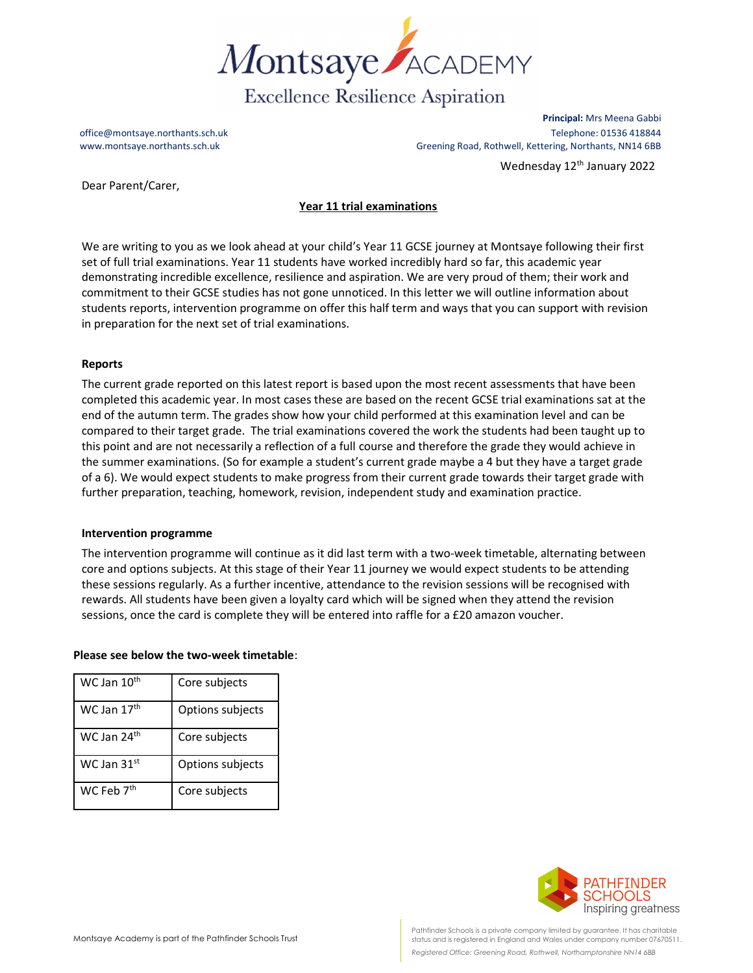

Principal: Mrs Meena Gabbi office@montsaye.northants.sch.uk Telephone: 01536 418844 www.montsaye.northants.sch.uk Greening Road, Rothwell, Kettering, Northants, NN14 6BB Wednesday 12<sup>th</sup> January 2022

Dear Parent/Carer,

# Year 11 trial examinations

We are writing to you as we look ahead at your child's Year 11 GCSE journey at Montsaye following their first set of full trial examinations. Year 11 students have worked incredibly hard so far, this academic year demonstrating incredible excellence, resilience and aspiration. We are very proud of them; their work and commitment to their GCSE studies has not gone unnoticed. In this letter we will outline information about students reports, intervention programme on offer this half term and ways that you can support with revision in preparation for the next set of trial examinations.

## Reports

The current grade reported on this latest report is based upon the most recent assessments that have been completed this academic year. In most cases these are based on the recent GCSE trial examinations sat at the end of the autumn term. The grades show how your child performed at this examination level and can be compared to their target grade. The trial examinations covered the work the students had been taught up to this point and are not necessarily a reflection of a full course and therefore the grade they would achieve in the summer examinations. (So for example a student's current grade maybe a 4 but they have a target grade of a 6). We would expect students to make progress from their current grade towards their target grade with further preparation, teaching, homework, revision, independent study and examination practice.

## Intervention programme

The intervention programme will continue as it did last term with a two-week timetable, alternating between core and options subjects. At this stage of their Year 11 journey we would expect students to be attending these sessions regularly. As a further incentive, attendance to the revision sessions will be recognised with rewards. All students have been given a loyalty card which will be signed when they attend the revision sessions, once the card is complete they will be entered into raffle for a £20 amazon voucher.

## Please see below the two-week timetable:

| WC Jan 10 <sup>th</sup> | Core subjects    |
|-------------------------|------------------|
| WC Jan 17 <sup>th</sup> | Options subjects |
| WC Jan $24^{\text{th}}$ | Core subjects    |
| WC Jan $31st$           | Options subjects |
| WC Feb 7 <sup>th</sup>  | Core subjects    |